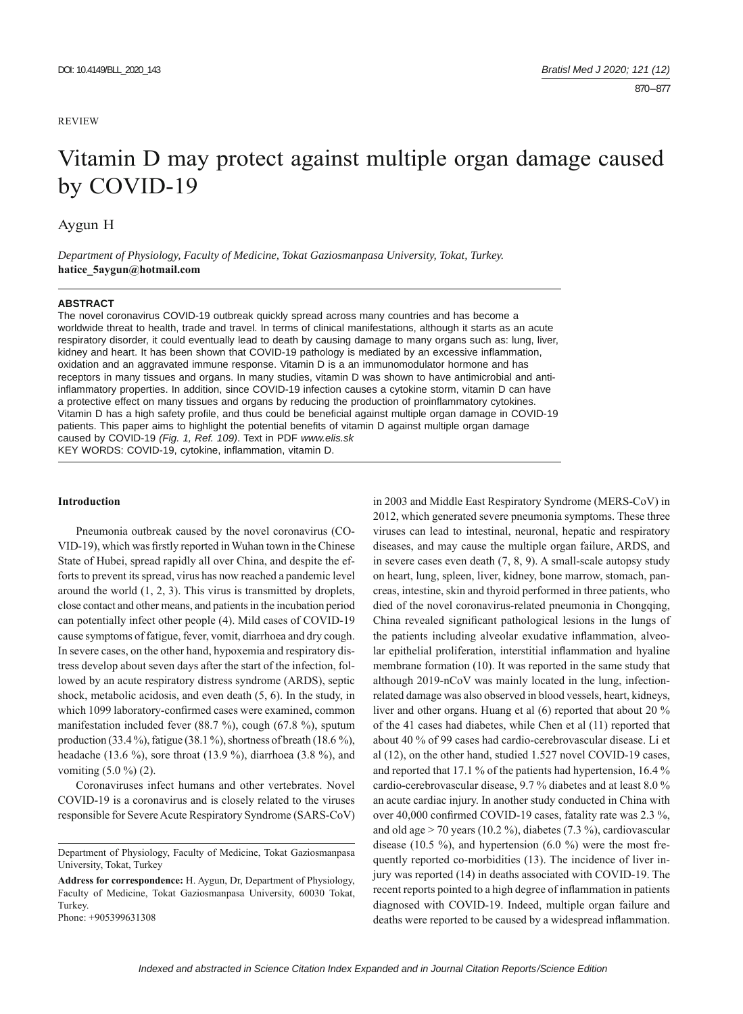## REVIEW

# Vitamin D may protect against multiple organ damage caused by COVID-19

Aygun H

*Department of Physiology, Faculty of Medicine, Tokat Gaziosmanpasa University, Tokat, Turkey.*  **hatice\_5aygun@hotmail.com**

## **ABSTRACT**

The novel coronavirus COVID-19 outbreak quickly spread across many countries and has become a worldwide threat to health, trade and travel. In terms of clinical manifestations, although it starts as an acute respiratory disorder, it could eventually lead to death by causing damage to many organs such as: lung, liver, kidney and heart. It has been shown that COVID-19 pathology is mediated by an excessive inflammation, oxidation and an aggravated immune response. Vitamin D is a an immunomodulator hormone and has receptors in many tissues and organs. In many studies, vitamin D was shown to have antimicrobial and antiinflammatory properties. In addition, since COVID-19 infection causes a cytokine storm, vitamin D can have a protective effect on many tissues and organs by reducing the production of proinflammatory cytokines. Vitamin D has a high safety profile, and thus could be beneficial against multiple organ damage in COVID-19 patients. This paper aims to highlight the potential benefits of vitamin D against multiple organ damage caused by COVID-19 *(Fig. 1, Ref. 109)*. Text in PDF *www.elis.sk* KEY WORDS: COVID-19, cytokine, inflammation, vitamin D.

#### **Introduction**

Pneumonia outbreak caused by the novel coronavirus (CO-VID-19), which was firstly reported in Wuhan town in the Chinese State of Hubei, spread rapidly all over China, and despite the efforts to prevent its spread, virus has now reached a pandemic level around the world (1, 2, 3). This virus is transmitted by droplets, close contact and other means, and patients in the incubation period can potentially infect other people (4). Mild cases of COVID-19 cause symptoms of fatigue, fever, vomit, diarrhoea and dry cough. In severe cases, on the other hand, hypoxemia and respiratory distress develop about seven days after the start of the infection, followed by an acute respiratory distress syndrome (ARDS), septic shock, metabolic acidosis, and even death (5, 6). In the study, in which 1099 laboratory-confirmed cases were examined, common manifestation included fever (88.7 %), cough (67.8 %), sputum production (33.4 %), fatigue (38.1 %), shortness of breath (18.6 %), headache (13.6 %), sore throat (13.9 %), diarrhoea (3.8 %), and vomiting (5.0 %) (2).

Coronaviruses infect humans and other vertebrates. Novel COVID-19 is a coronavirus and is closely related to the viruses responsible for Severe Acute Respiratory Syndrome (SARS-CoV)

in 2003 and Middle East Respiratory Syndrome (MERS-CoV) in 2012, which generated severe pneumonia symptoms. These three viruses can lead to intestinal, neuronal, hepatic and respiratory diseases, and may cause the multiple organ failure, ARDS, and in severe cases even death (7, 8, 9). A small-scale autopsy study on heart, lung, spleen, liver, kidney, bone marrow, stomach, pancreas, intestine, skin and thyroid performed in three patients, who died of the novel coronavirus-related pneumonia in Chongqing, China revealed significant pathological lesions in the lungs of the patients including alveolar exudative inflammation, alveolar epithelial proliferation, interstitial inflammation and hyaline membrane formation (10). It was reported in the same study that although 2019-nCoV was mainly located in the lung, infectionrelated damage was also observed in blood vessels, heart, kidneys, liver and other organs. Huang et al (6) reported that about 20 % of the 41 cases had diabetes, while Chen et al (11) reported that about 40 % of 99 cases had cardio-cerebrovascular disease. Li et al (12), on the other hand, studied 1.527 novel COVID-19 cases, and reported that 17.1 % of the patients had hypertension, 16.4 % cardio-cerebrovascular disease, 9.7 % diabetes and at least 8.0 % an acute cardiac injury. In another study conducted in China with over 40,000 confirmed COVID-19 cases, fatality rate was 2.3 %, and old age > 70 years (10.2 %), diabetes (7.3 %), cardiovascular disease (10.5 %), and hypertension (6.0 %) were the most frequently reported co-morbidities (13). The incidence of liver injury was reported (14) in deaths associated with COVID-19. The recent reports pointed to a high degree of inflammation in patients diagnosed with COVID-19. Indeed, multiple organ failure and deaths were reported to be caused by a widespread inflammation.

Department of Physiology, Faculty of Medicine, Tokat Gaziosmanpasa University, Tokat, Turkey

**Address for correspondence:** H. Aygun, Dr, Department of Physiology, Faculty of Medicine, Tokat Gaziosmanpasa University, 60030 Tokat, Turkey. Phone: +905399631308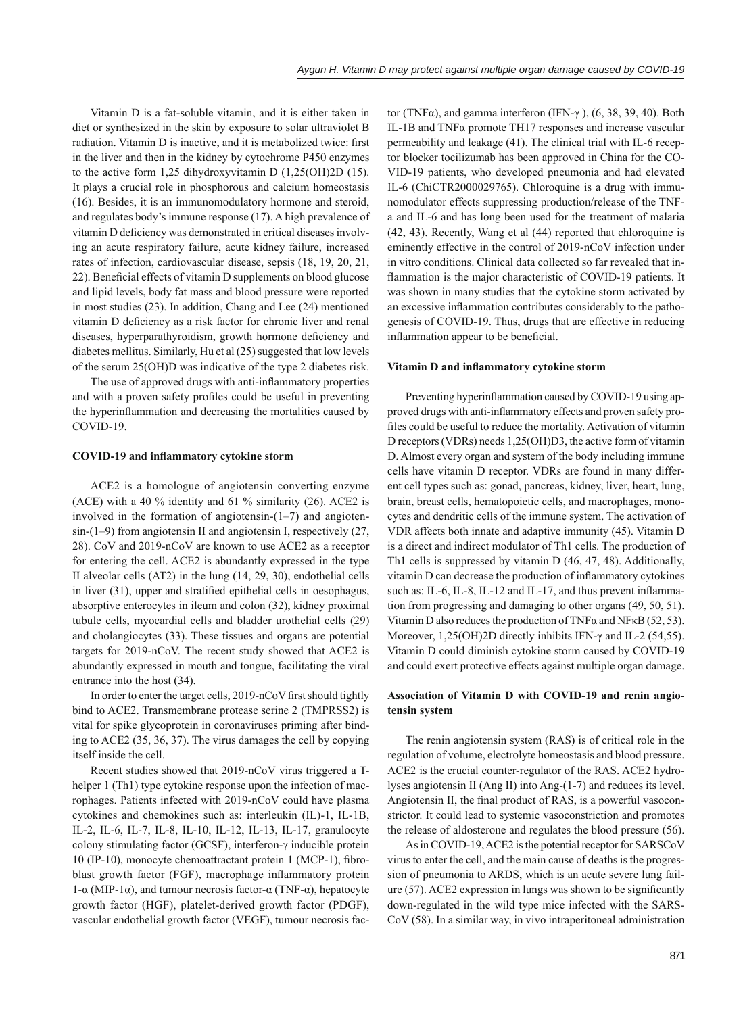Vitamin D is a fat-soluble vitamin, and it is either taken in diet or synthesized in the skin by exposure to solar ultraviolet B radiation. Vitamin D is inactive, and it is metabolized twice: first in the liver and then in the kidney by cytochrome P450 enzymes to the active form 1,25 dihydroxyvitamin D (1,25(OH)2D (15). It plays a crucial role in phosphorous and calcium homeostasis (16). Besides, it is an immunomodulatory hormone and steroid, and regulates body's immune response (17). A high prevalence of vitamin D deficiency was demonstrated in critical diseases involving an acute respiratory failure, acute kidney failure, increased rates of infection, cardiovascular disease, sepsis (18, 19, 20, 21, 22). Beneficial effects of vitamin D supplements on blood glucose and lipid levels, body fat mass and blood pressure were reported in most studies (23). In addition, Chang and Lee (24) mentioned vitamin D deficiency as a risk factor for chronic liver and renal diseases, hyperparathyroidism, growth hormone deficiency and diabetes mellitus. Similarly, Hu et al (25) suggested that low levels of the serum 25(OH)D was indicative of the type 2 diabetes risk.

The use of approved drugs with anti-inflammatory properties and with a proven safety profiles could be useful in preventing the hyperinflammation and decreasing the mortalities caused by COVID-19.

## **COVID-19 and infl ammatory cytokine storm**

ACE2 is a homologue of angiotensin converting enzyme (ACE) with a 40 % identity and 61 % similarity (26). ACE2 is involved in the formation of angiotensin- $(1-7)$  and angiotensin-(1–9) from angiotensin II and angiotensin I, respectively (27, 28). CoV and 2019-nCoV are known to use ACE2 as a receptor for entering the cell. ACE2 is abundantly expressed in the type II alveolar cells (AT2) in the lung (14, 29, 30), endothelial cells in liver  $(31)$ , upper and stratified epithelial cells in oesophagus, absorptive enterocytes in ileum and colon (32), kidney proximal tubule cells, myocardial cells and bladder urothelial cells (29) and cholangiocytes (33). These tissues and organs are potential targets for 2019-nCoV. The recent study showed that ACE2 is abundantly expressed in mouth and tongue, facilitating the viral entrance into the host (34).

In order to enter the target cells, 2019-nCoV first should tightly bind to ACE2. Transmembrane protease serine 2 (TMPRSS2) is vital for spike glycoprotein in coronaviruses priming after binding to ACE2 (35, 36, 37). The virus damages the cell by copying itself inside the cell.

Recent studies showed that 2019-nCoV virus triggered a Thelper 1 (Th1) type cytokine response upon the infection of macrophages. Patients infected with 2019-nCoV could have plasma cytokines and chemokines such as: interleukin (IL)-1, IL-1B, IL-2, IL-6, IL-7, IL-8, IL-10, IL-12, IL-13, IL-17, granulocyte colony stimulating factor (GCSF), interferon-γ inducible protein 10 (IP-10), monocyte chemoattractant protein 1 (MCP-1), fibroblast growth factor (FGF), macrophage inflammatory protein 1-α (MIP-1α), and tumour necrosis factor-α (TNF-α), hepatocyte growth factor (HGF), platelet-derived growth factor (PDGF), vascular endothelial growth factor (VEGF), tumour necrosis fac-

tor (TNF $\alpha$ ), and gamma interferon (IFN- $\gamma$ ), (6, 38, 39, 40). Both IL-1B and TNFα promote TH17 responses and increase vascular permeability and leakage (41). The clinical trial with IL-6 receptor blocker tocilizumab has been approved in China for the CO-VID-19 patients, who developed pneumonia and had elevated IL-6 (ChiCTR2000029765). Chloroquine is a drug with immunomodulator effects suppressing production/release of the TNFa and IL-6 and has long been used for the treatment of malaria (42, 43). Recently, Wang et al (44) reported that chloroquine is eminently effective in the control of 2019-nCoV infection under in vitro conditions. Clinical data collected so far revealed that inflammation is the major characteristic of COVID-19 patients. It was shown in many studies that the cytokine storm activated by an excessive inflammation contributes considerably to the pathogenesis of COVID-19. Thus, drugs that are effective in reducing inflammation appear to be beneficial.

#### **Vitamin D and infl ammatory cytokine storm**

Preventing hyperinflammation caused by COVID-19 using approved drugs with anti-inflammatory effects and proven safety profiles could be useful to reduce the mortality. Activation of vitamin D receptors (VDRs) needs 1,25(OH)D3, the active form of vitamin D. Almost every organ and system of the body including immune cells have vitamin D receptor. VDRs are found in many different cell types such as: gonad, pancreas, kidney, liver, heart, lung, brain, breast cells, hematopoietic cells, and macrophages, monocytes and dendritic cells of the immune system. The activation of VDR affects both innate and adaptive immunity (45). Vitamin D is a direct and indirect modulator of Th1 cells. The production of Th1 cells is suppressed by vitamin D (46, 47, 48). Additionally, vitamin D can decrease the production of inflammatory cytokines such as: IL-6, IL-8, IL-12 and IL-17, and thus prevent inflammation from progressing and damaging to other organs (49, 50, 51). Vitamin D also reduces the production of TNF $\alpha$  and NF $\kappa$ B (52, 53). Moreover, 1,25(OH)2D directly inhibits IFN-γ and IL-2 (54,55). Vitamin D could diminish cytokine storm caused by COVID-19 and could exert protective effects against multiple organ damage.

# **Association of Vitamin D with COVID-19 and renin angiotensin system**

The renin angiotensin system (RAS) is of critical role in the regulation of volume, electrolyte homeostasis and blood pressure. ACE2 is the crucial counter-regulator of the RAS. ACE2 hydrolyses angiotensin II (Ang II) into Ang-(1-7) and reduces its level. Angiotensin II, the final product of RAS, is a powerful vasoconstrictor. It could lead to systemic vasoconstriction and promotes the release of aldosterone and regulates the blood pressure (56).

As in COVID-19, ACE2 is the potential receptor for SARSCoV virus to enter the cell, and the main cause of deaths is the progression of pneumonia to ARDS, which is an acute severe lung failure  $(57)$ . ACE2 expression in lungs was shown to be significantly down-regulated in the wild type mice infected with the SARS-CoV (58). In a similar way, in vivo intraperitoneal administration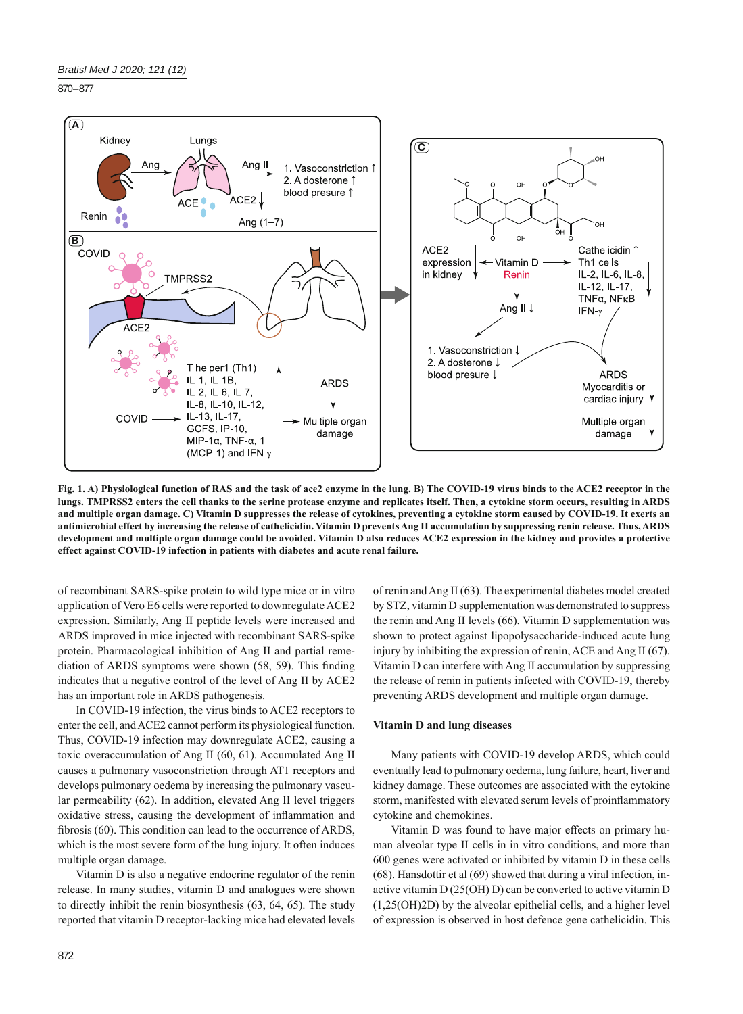870 – 877



**Fig. 1. A) Physiological function of RAS and the task of ace2 enzyme in the lung. B) The COVID-19 virus binds to the ACE2 receptor in the lungs. TMPRSS2 enters the cell thanks to the serine protease enzyme and replicates itself. Then, a cytokine storm occurs, resulting in ARDS and multiple organ damage. C) Vitamin D suppresses the release of cytokines, preventing a cytokine storm caused by COVID-19. It exerts an antimicrobial effect by increasing the release of cathelicidin. Vitamin D prevents Ang II accumulation by suppressing renin release. Thus, ARDS development and multiple organ damage could be avoided. Vitamin D also reduces ACE2 expression in the kidney and provides a protective effect against COVID-19 infection in patients with diabetes and acute renal failure.**

of recombinant SARS-spike protein to wild type mice or in vitro application of Vero E6 cells were reported to downregulate ACE2 expression. Similarly, Ang II peptide levels were increased and ARDS improved in mice injected with recombinant SARS-spike protein. Pharmacological inhibition of Ang II and partial remediation of ARDS symptoms were shown  $(58, 59)$ . This finding indicates that a negative control of the level of Ang II by ACE2 has an important role in ARDS pathogenesis.

In COVID-19 infection, the virus binds to ACE2 receptors to enter the cell, and ACE2 cannot perform its physiological function. Thus, COVID-19 infection may downregulate ACE2, causing a toxic overaccumulation of Ang II (60, 61). Accumulated Ang II causes a pulmonary vasoconstriction through AT1 receptors and develops pulmonary oedema by increasing the pulmonary vascular permeability (62). In addition, elevated Ang II level triggers oxidative stress, causing the development of inflammation and fibrosis (60). This condition can lead to the occurrence of ARDS, which is the most severe form of the lung injury. It often induces multiple organ damage.

Vitamin D is also a negative endocrine regulator of the renin release. In many studies, vitamin D and analogues were shown to directly inhibit the renin biosynthesis (63, 64, 65). The study reported that vitamin D receptor-lacking mice had elevated levels of renin and Ang II (63). The experimental diabetes model created by STZ, vitamin D supplementation was demonstrated to suppress the renin and Ang II levels (66). Vitamin D supplementation was shown to protect against lipopolysaccharide-induced acute lung injury by inhibiting the expression of renin, ACE and Ang II (67). Vitamin D can interfere with Ang II accumulation by suppressing the release of renin in patients infected with COVID-19, thereby preventing ARDS development and multiple organ damage.

## **Vitamin D and lung diseases**

Many patients with COVID-19 develop ARDS, which could eventually lead to pulmonary oedema, lung failure, heart, liver and kidney damage. These outcomes are associated with the cytokine storm, manifested with elevated serum levels of proinflammatory cytokine and chemokines.

Vitamin D was found to have major effects on primary human alveolar type II cells in in vitro conditions, and more than 600 genes were activated or inhibited by vitamin D in these cells (68). Hansdottir et al (69) showed that during a viral infection, inactive vitamin D (25(OH) D) can be converted to active vitamin D (1,25(OH)2D) by the alveolar epithelial cells, and a higher level of expression is observed in host defence gene cathelicidin. This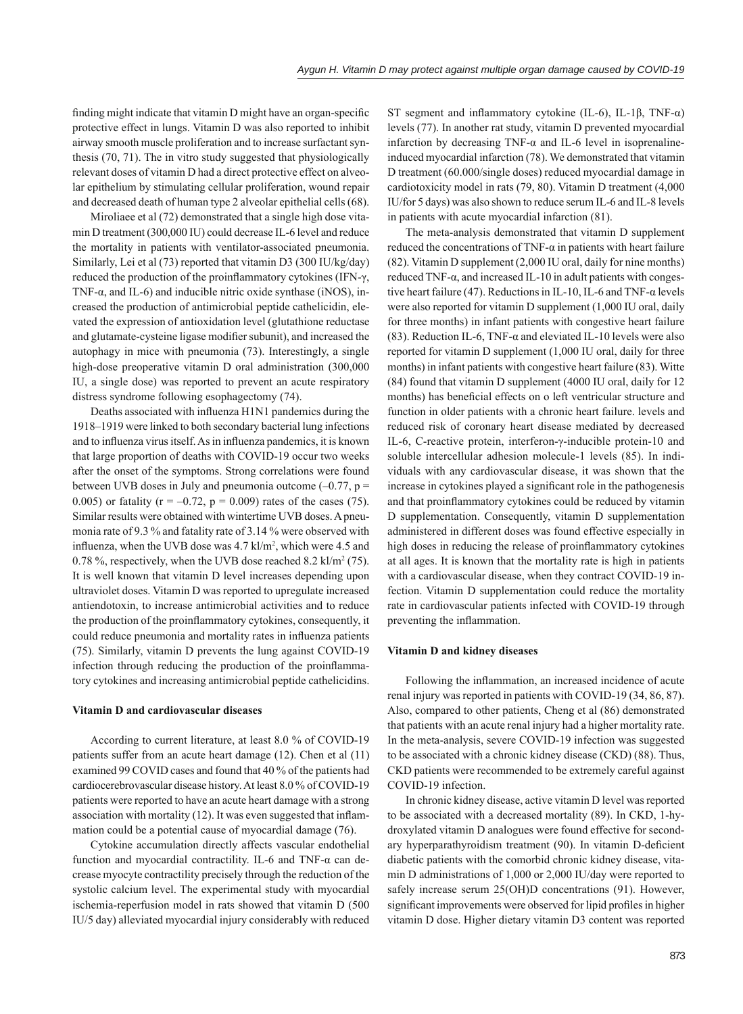finding might indicate that vitamin D might have an organ-specific protective effect in lungs. Vitamin D was also reported to inhibit airway smooth muscle proliferation and to increase surfactant synthesis (70, 71). The in vitro study suggested that physiologically relevant doses of vitamin D had a direct protective effect on alveolar epithelium by stimulating cellular proliferation, wound repair and decreased death of human type 2 alveolar epithelial cells (68).

Miroliaee et al (72) demonstrated that a single high dose vitamin D treatment (300,000 IU) could decrease IL-6 level and reduce the mortality in patients with ventilator-associated pneumonia. Similarly, Lei et al (73) reported that vitamin D3 (300 IU/kg/day) reduced the production of the proinflammatory cytokines (IFN-γ, TNF- $\alpha$ , and IL-6) and inducible nitric oxide synthase (iNOS), increased the production of antimicrobial peptide cathelicidin, elevated the expression of antioxidation level (glutathione reductase and glutamate-cysteine ligase modifier subunit), and increased the autophagy in mice with pneumonia (73). Interestingly, a single high-dose preoperative vitamin D oral administration (300,000 IU, a single dose) was reported to prevent an acute respiratory distress syndrome following esophagectomy (74).

Deaths associated with influenza H1N1 pandemics during the 1918‒1919 were linked to both secondary bacterial lung infections and to influenza virus itself. As in influenza pandemics, it is known that large proportion of deaths with COVID-19 occur two weeks after the onset of the symptoms. Strong correlations were found between UVB doses in July and pneumonia outcome  $(-0.77, p =$ 0.005) or fatality ( $r = -0.72$ ,  $p = 0.009$ ) rates of the cases (75). Similar results were obtained with wintertime UVB doses. A pneumonia rate of 9.3 % and fatality rate of 3.14 % were observed with influenza, when the UVB dose was  $4.7 \text{ k}$ l/m<sup>2</sup>, which were  $4.5$  and 0.78 %, respectively, when the UVB dose reached 8.2 kl/m<sup>2</sup> (75). It is well known that vitamin D level increases depending upon ultraviolet doses. Vitamin D was reported to upregulate increased antiendotoxin, to increase antimicrobial activities and to reduce the production of the proinflammatory cytokines, consequently, it could reduce pneumonia and mortality rates in influenza patients (75). Similarly, vitamin D prevents the lung against COVID-19 infection through reducing the production of the proinflammatory cytokines and increasing antimicrobial peptide cathelicidins.

## **Vitamin D and cardiovascular diseases**

According to current literature, at least 8.0 % of COVID-19 patients suffer from an acute heart damage (12). Chen et al (11) examined 99 COVID cases and found that 40 % of the patients had cardiocerebrovascular disease history. At least 8.0 % of COVID-19 patients were reported to have an acute heart damage with a strong association with mortality  $(12)$ . It was even suggested that inflammation could be a potential cause of myocardial damage (76).

Cytokine accumulation directly affects vascular endothelial function and myocardial contractility. IL-6 and TNF-α can decrease myocyte contractility precisely through the reduction of the systolic calcium level. The experimental study with myocardial ischemia-reperfusion model in rats showed that vitamin D (500 IU/5 day) alleviated myocardial injury considerably with reduced

ST segment and inflammatory cytokine (IL-6), IL-1 $\beta$ , TNF- $\alpha$ ) levels (77). In another rat study, vitamin D prevented myocardial infarction by decreasing TNF-α and IL-6 level in isoprenalineinduced myocardial infarction (78). We demonstrated that vitamin D treatment (60.000/single doses) reduced myocardial damage in cardiotoxicity model in rats (79, 80). Vitamin D treatment (4,000 IU/for 5 days) was also shown to reduce serum IL-6 and IL-8 levels in patients with acute myocardial infarction (81).

The meta-analysis demonstrated that vitamin D supplement reduced the concentrations of TNF-α in patients with heart failure (82). Vitamin D supplement (2,000 IU oral, daily for nine months) reduced TNF-α, and increased IL-10 in adult patients with congestive heart failure (47). Reductions in IL-10, IL-6 and TNF- $\alpha$  levels were also reported for vitamin D supplement (1,000 IU oral, daily for three months) in infant patients with congestive heart failure (83). Reduction IL-6, TNF- $\alpha$  and eleviated IL-10 levels were also reported for vitamin D supplement (1,000 IU oral, daily for three months) in infant patients with congestive heart failure (83). Witte (84) found that vitamin D supplement (4000 IU oral, daily for 12 months) has beneficial effects on o left ventricular structure and function in older patients with a chronic heart failure. levels and reduced risk of coronary heart disease mediated by decreased IL-6, C-reactive protein, interferon-γ-inducible protein-10 and soluble intercellular adhesion molecule-1 levels (85). In individuals with any cardiovascular disease, it was shown that the increase in cytokines played a significant role in the pathogenesis and that proinflammatory cytokines could be reduced by vitamin D supplementation. Consequently, vitamin D supplementation administered in different doses was found effective especially in high doses in reducing the release of proinflammatory cytokines at all ages. It is known that the mortality rate is high in patients with a cardiovascular disease, when they contract COVID-19 infection. Vitamin D supplementation could reduce the mortality rate in cardiovascular patients infected with COVID-19 through preventing the inflammation.

## **Vitamin D and kidney diseases**

Following the inflammation, an increased incidence of acute renal injury was reported in patients with COVID-19 (34, 86, 87). Also, compared to other patients, Cheng et al (86) demonstrated that patients with an acute renal injury had a higher mortality rate. In the meta-analysis, severe COVID-19 infection was suggested to be associated with a chronic kidney disease (CKD) (88). Thus, CKD patients were recommended to be extremely careful against COVID-19 infection.

In chronic kidney disease, active vitamin D level was reported to be associated with a decreased mortality (89). In CKD, 1-hydroxylated vitamin D analogues were found effective for secondary hyperparathyroidism treatment (90). In vitamin D-deficient diabetic patients with the comorbid chronic kidney disease, vitamin D administrations of 1,000 or 2,000 IU/day were reported to safely increase serum 25(OH)D concentrations (91). However, significant improvements were observed for lipid profiles in higher vitamin D dose. Higher dietary vitamin D3 content was reported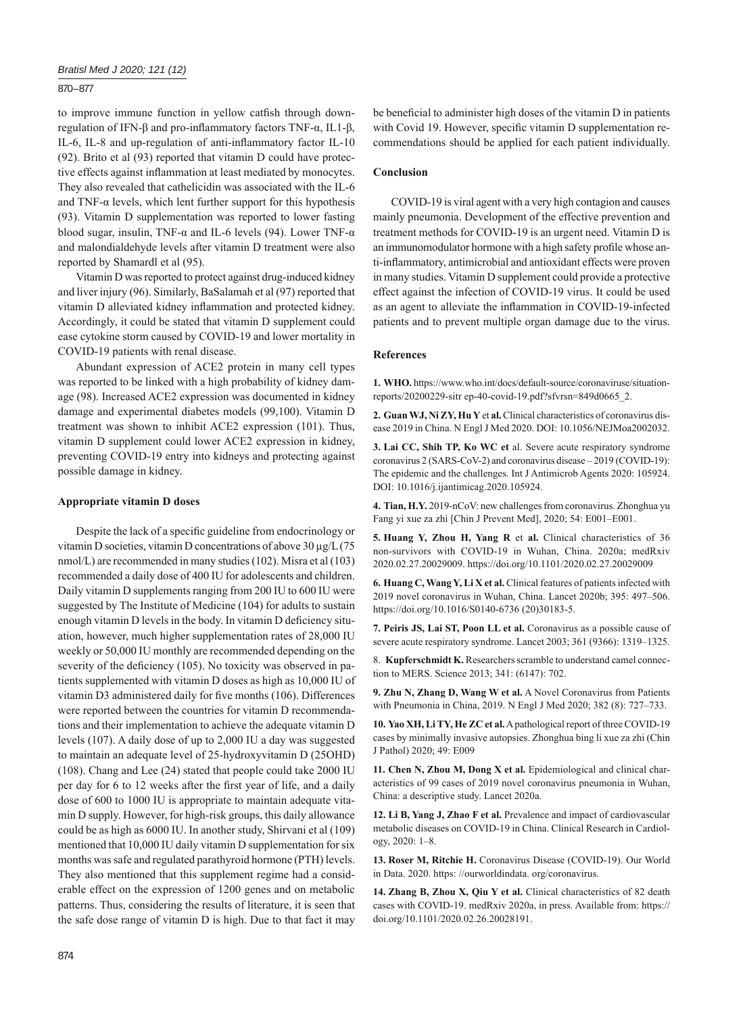## 870 – 877

to improve immune function in yellow catfish through downregulation of IFN-β and pro-inflammatory factors TNF- $\alpha$ , IL1-β, IL-6, IL-8 and up-regulation of anti-inflammatory factor IL-10 (92). Brito et al (93) reported that vitamin D could have protective effects against inflammation at least mediated by monocytes. They also revealed that cathelicidin was associated with the IL-6 and TNF- $\alpha$  levels, which lent further support for this hypothesis (93). Vitamin D supplementation was reported to lower fasting blood sugar, insulin, TNF- $\alpha$  and IL-6 levels (94). Lower TNF- $\alpha$ and malondialdehyde levels after vitamin D treatment were also reported by Shamardl et al (95).

Vitamin D was reported to protect against drug-induced kidney and liver injury (96). Similarly, BaSalamah et al (97) reported that vitamin D alleviated kidney inflammation and protected kidney. Accordingly, it could be stated that vitamin D supplement could ease cytokine storm caused by COVID-19 and lower mortality in COVID-19 patients with renal disease.

Abundant expression of ACE2 protein in many cell types was reported to be linked with a high probability of kidney damage (98). Increased ACE2 expression was documented in kidney damage and experimental diabetes models (99,100). Vitamin D treatment was shown to inhibit ACE2 expression (101). Thus, vitamin D supplement could lower ACE2 expression in kidney, preventing COVID-19 entry into kidneys and protecting against possible damage in kidney.

#### **Appropriate vitamin D doses**

Despite the lack of a specific guideline from endocrinology or vitamin D societies, vitamin D concentrations of above 30 μg/L (75 nmol/L) are recommended in many studies (102). Misra et al (103) recommended a daily dose of 400 IU for adolescents and children. Daily vitamin D supplements ranging from 200 IU to 600 IU were suggested by The Institute of Medicine (104) for adults to sustain enough vitamin D levels in the body. In vitamin D deficiency situation, however, much higher supplementation rates of 28,000 IU weekly or 50,000 IU monthly are recommended depending on the severity of the deficiency  $(105)$ . No toxicity was observed in patients supplemented with vitamin D doses as high as 10,000 IU of vitamin D3 administered daily for five months (106). Differences were reported between the countries for vitamin D recommendations and their implementation to achieve the adequate vitamin D levels (107). A daily dose of up to 2,000 IU a day was suggested to maintain an adequate level of 25-hydroxyvitamin D (25OHD) (108). Chang and Lee (24) stated that people could take 2000 IU per day for 6 to 12 weeks after the first year of life, and a daily dose of 600 to 1000 IU is appropriate to maintain adequate vitamin D supply. However, for high-risk groups, this daily allowance could be as high as 6000 IU. In another study, Shirvani et al (109) mentioned that 10,000 IU daily vitamin D supplementation for six months was safe and regulated parathyroid hormone (PTH) levels. They also mentioned that this supplement regime had a considerable effect on the expression of 1200 genes and on metabolic patterns. Thus, considering the results of literature, it is seen that the safe dose range of vitamin D is high. Due to that fact it may

be beneficial to administer high doses of the vitamin D in patients with Covid 19. However, specific vitamin D supplementation recommendations should be applied for each patient individually.

# **Conclusion**

COVID-19 is viral agent with a very high contagion and causes mainly pneumonia. Development of the effective prevention and treatment methods for COVID-19 is an urgent need. Vitamin D is an immunomodulator hormone with a high safety profile whose anti-inflammatory, antimicrobial and antioxidant effects were proven in many studies. Vitamin D supplement could provide a protective effect against the infection of COVID-19 virus. It could be used as an agent to alleviate the inflammation in COVID-19-infected patients and to prevent multiple organ damage due to the virus.

#### **References**

**1. WHO.** https://www.who.int/docs/default-source/coronaviruse/situationreports/20200229-sitr ep-40-covid-19.pdf?sfvrsn=849d0665\_2.

**2. Guan WJ, Ni ZY, Hu Y** et **al.** Clinical characteristics of coronavirus disease 2019 in China. N Engl J Med 2020. DOI: 10.1056/NEJMoa2002032.

**3. Lai CC, Shih TP, Ko WC et** al. Severe acute respiratory syndrome coronavirus  $2$  (SARS-CoV-2) and coronavirus disease  $-2019$  (COVID-19): The epidemic and the challenges. Int J Antimicrob Agents 2020: 105924. DOI: 10.1016/j.ijantimicag.2020.105924.

**4. Tian, H.Y.** 2019-nCoV: new challenges from coronavirus. Zhonghua yu Fang yi xue za zhi [Chin J Prevent Med], 2020; 54: E001-E001.

**5. Huang Y, Zhou H, Yang R** et **al.** Clinical characteristics of 36 non-survivors with COVID-19 in Wuhan, China. 2020a; medRxiv 2020.02.27.20029009. https://doi.org/10.1101/2020.02.27.20029009

**6. Huang C, Wang Y, Li X et al.** Clinical features of patients infected with 2019 novel coronavirus in Wuhan, China. Lancet 2020b; 395: 497–506. https://doi.org/10.1016/S0140-6736 (20)30183-5.

**7. Peiris JS, Lai ST, Poon LL et al.** Coronavirus as a possible cause of severe acute respiratory syndrome. Lancet 2003; 361 (9366): 1319–1325.

8. **Kupferschmidt K.** Researchers scramble to understand camel connection to MERS. Science 2013; 341: (6147): 702.

**9. Zhu N, Zhang D, Wang W et al.** A Novel Coronavirus from Patients with Pneumonia in China, 2019. N Engl J Med 2020; 382 (8): 727-733.

**10. Yao XH, Li TY, He ZC et al.** A pathological report of three COVID-19 cases by minimally invasive autopsies. Zhonghua bing li xue za zhi (Chin J Pathol) 2020; 49: E009

**11. Chen N, Zhou M, Dong X et al.** Epidemiological and clinical characteristics of 99 cases of 2019 novel coronavirus pneumonia in Wuhan, China: a descriptive study. Lancet 2020a.

**12. Li B, Yang J, Zhao F et al.** Prevalence and impact of cardiovascular metabolic diseases on COVID-19 in China. Clinical Research in Cardiology, 2020: 1‒8.

**13. Roser M, Ritchie H.** Coronavirus Disease (COVID-19). Our World in Data. 2020. https: //ourworldindata. org/coronavirus.

**14. Zhang B, Zhou X, Qiu Y et al.** Clinical characteristics of 82 death cases with COVID-19. medRxiv 2020a, in press. Available from: https:// doi.org/10.1101/2020.02.26.20028191.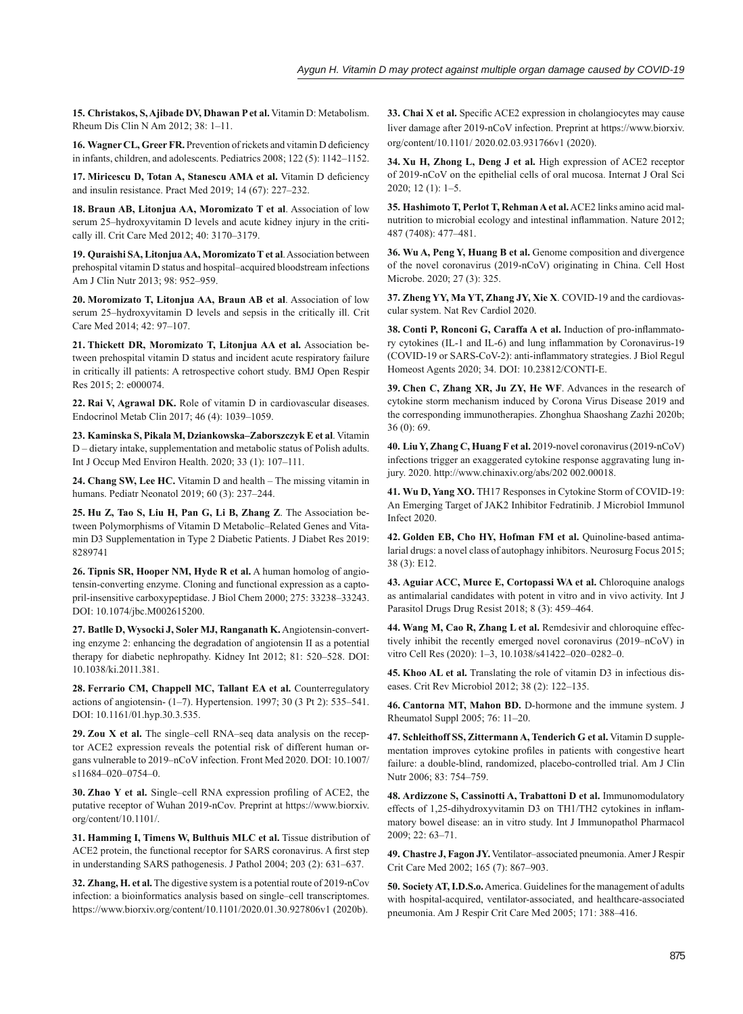**15. Christakos, S, Ajibade DV, Dhawan P et al.** Vitamin D: Metabolism. Rheum Dis Clin N Am 2012; 38: 1–11.

**16. Wagner CL, Greer FR.** Prevention of rickets and vitamin D deficiency in infants, children, and adolescents. Pediatrics 2008; 122 (5): 1142–1152.

17. Miricescu D, Totan A, Stanescu AMA et al. Vitamin D deficiency and insulin resistance. Pract Med  $2019$ :  $14(67)$ :  $227-232$ .

**18. Braun AB, Litonjua AA, Moromizato T et al**. Association of low serum 25-hydroxyvitamin D levels and acute kidney injury in the critically ill. Crit Care Med 2012; 40: 3170–3179.

**19. Quraishi SA, Litonjua AA, Moromizato T et al**. Association between prehospital vitamin D status and hospital-acquired bloodstream infections Am J Clin Nutr 2013; 98: 952–959.

**20. Moromizato T, Litonjua AA, Braun AB et al**. Association of low serum 25-hydroxyvitamin D levels and sepsis in the critically ill. Crit Care Med 2014; 42: 97–107.

**21. Thickett DR, Moromizato T, Litonjua AA et al.** Association between prehospital vitamin D status and incident acute respiratory failure in critically ill patients: A retrospective cohort study. BMJ Open Respir Res 2015; 2: e000074.

**22. Rai V, Agrawal DK.** Role of vitamin D in cardiovascular diseases. Endocrinol Metab Clin 2017; 46 (4): 1039-1059.

**23. Kaminska S, Pikala M, Dziankowska‒Zaborszczyk E et al**. Vitamin D – dietary intake, supplementation and metabolic status of Polish adults. Int J Occup Med Environ Health. 2020; 33 (1): 107-111.

24. Chang SW, Lee HC. Vitamin D and health – The missing vitamin in humans. Pediatr Neonatol 2019; 60 (3): 237-244.

**25. Hu Z, Tao S, Liu H, Pan G, Li B, Zhang Z**. The Association between Polymorphisms of Vitamin D Metabolic-Related Genes and Vitamin D3 Supplementation in Type 2 Diabetic Patients. J Diabet Res 2019: 8289741

**26. Tipnis SR, Hooper NM, Hyde R et al.** A human homolog of angiotensin-converting enzyme. Cloning and functional expression as a captopril-insensitive carboxypeptidase. J Biol Chem 2000; 275: 33238–33243. DOI: 10.1074/jbc.M002615200.

**27. Batlle D, Wysocki J, Soler MJ, Ranganath K.** Angiotensin-converting enzyme 2: enhancing the degradation of angiotensin II as a potential therapy for diabetic nephropathy. Kidney Int 2012; 81: 520–528. DOI: 10.1038/ki.2011.381.

**28. Ferrario CM, Chappell MC, Tallant EA et al.** Counterregulatory actions of angiotensin- (1‒7). Hypertension. 1997; 30 (3 Pt 2): 535–541. DOI: 10.1161/01.hyp.30.3.535.

29. Zou X et al. The single-cell RNA-seq data analysis on the receptor ACE2 expression reveals the potential risk of different human organs vulnerable to 2019-nCoV infection. Front Med 2020. DOI: 10.1007/ s11684-020-0754-0.

**30. Zhao Y et al.** Single-cell RNA expression profiling of ACE2, the putative receptor of Wuhan 2019-nCov. Preprint at https://www.biorxiv. org/content/10.1101/.

**31. Hamming I, Timens W, Bulthuis MLC et al.** Tissue distribution of ACE2 protein, the functional receptor for SARS coronavirus. A first step in understanding SARS pathogenesis. J Pathol 2004; 203 (2): 631-637.

**32. Zhang, H. et al.** The digestive system is a potential route of 2019-nCov infection: a bioinformatics analysis based on single-cell transcriptomes. https://www.biorxiv.org/content/10.1101/2020.01.30.927806v1 (2020b).

**33. Chai X et al.** Specific ACE2 expression in cholangiocytes may cause liver damage after 2019-nCoV infection. Preprint at https://www.biorxiv. org/content/10.1101/ 2020.02.03.931766v1 (2020).

**34. Xu H, Zhong L, Deng J et al.** High expression of ACE2 receptor of 2019-nCoV on the epithelial cells of oral mucosa. Internat J Oral Sci 2020; 12 (1): 1‒5.

**35. Hashimoto T, Perlot T, Rehman A et al.** ACE2 links amino acid malnutrition to microbial ecology and intestinal inflammation. Nature 2012: 487 (7408): 477–481.

**36. Wu A, Peng Y, Huang B et al.** Genome composition and divergence of the novel coronavirus (2019-nCoV) originating in China. Cell Host Microbe. 2020; 27 (3): 325.

**37. Zheng YY, Ma YT, Zhang JY, Xie X**. COVID-19 and the cardiovascular system. Nat Rev Cardiol 2020.

38. Conti P, Ronconi G, Caraffa A et al. Induction of pro-inflammatory cytokines (IL-1 and IL-6) and lung inflammation by Coronavirus-19 (COVID-19 or SARS-CoV-2): anti-inflammatory strategies. J Biol Regul Homeost Agents 2020; 34. DOI: 10.23812/CONTI-E.

**39. Chen C, Zhang XR, Ju ZY, He WF**. Advances in the research of cytokine storm mechanism induced by Corona Virus Disease 2019 and the corresponding immunotherapies. Zhonghua Shaoshang Zazhi 2020b; 36 (0): 69.

**40. Liu Y, Zhang C, Huang F et al.** 2019-novel coronavirus (2019-nCoV) infections trigger an exaggerated cytokine response aggravating lung injury. 2020. http://www.chinaxiv.org/abs/202 002.00018.

41. Wu D, Yang XO. TH17 Responses in Cytokine Storm of COVID-19: An Emerging Target of JAK2 Inhibitor Fedratinib. J Microbiol Immunol Infect 2020.

**42. Golden EB, Cho HY, Hofman FM et al.** Quinoline-based antimalarial drugs: a novel class of autophagy inhibitors. Neurosurg Focus 2015; 38 (3): E12.

**43. Aguiar ACC, Murce E, Cortopassi WA et al.** Chloroquine analogs as antimalarial candidates with potent in vitro and in vivo activity. Int J Parasitol Drugs Drug Resist 2018; 8 (3): 459–464.

**44. Wang M, Cao R, Zhang L et al.** Remdesivir and chloroquine effectively inhibit the recently emerged novel coronavirus (2019–nCoV) in vitro Cell Res (2020): 1-3, 10.1038/s41422-020-0282-0.

**45. Khoo AL et al.** Translating the role of vitamin D3 in infectious diseases. Crit Rev Microbiol 2012; 38 (2): 122-135.

**46. Cantorna MT, Mahon BD.** D-hormone and the immune system. J Rheumatol Suppl 2005; 76: 11‒20.

**47. Schleithoff SS, Zittermann A, Tenderich G et al.** Vitamin D supplementation improves cytokine profiles in patients with congestive heart failure: a double-blind, randomized, placebo-controlled trial. Am J Clin Nutr 2006; 83: 754-759.

**48. Ardizzone S, Cassinotti A, Trabattoni D et al.** Immunomodulatory effects of 1,25-dihydroxyvitamin D3 on TH1/TH2 cytokines in inflammatory bowel disease: an in vitro study. Int J Immunopathol Pharmacol 2009; 22: 63‒71.

49. Chastre J, Fagon JY. Ventilator-associated pneumonia. Amer J Respir Crit Care Med 2002; 165 (7): 867-903.

**50. Society AT, I.D.S.o.** America. Guidelines for the management of adults with hospital-acquired, ventilator-associated, and healthcare-associated pneumonia. Am J Respir Crit Care Med 2005; 171: 388-416.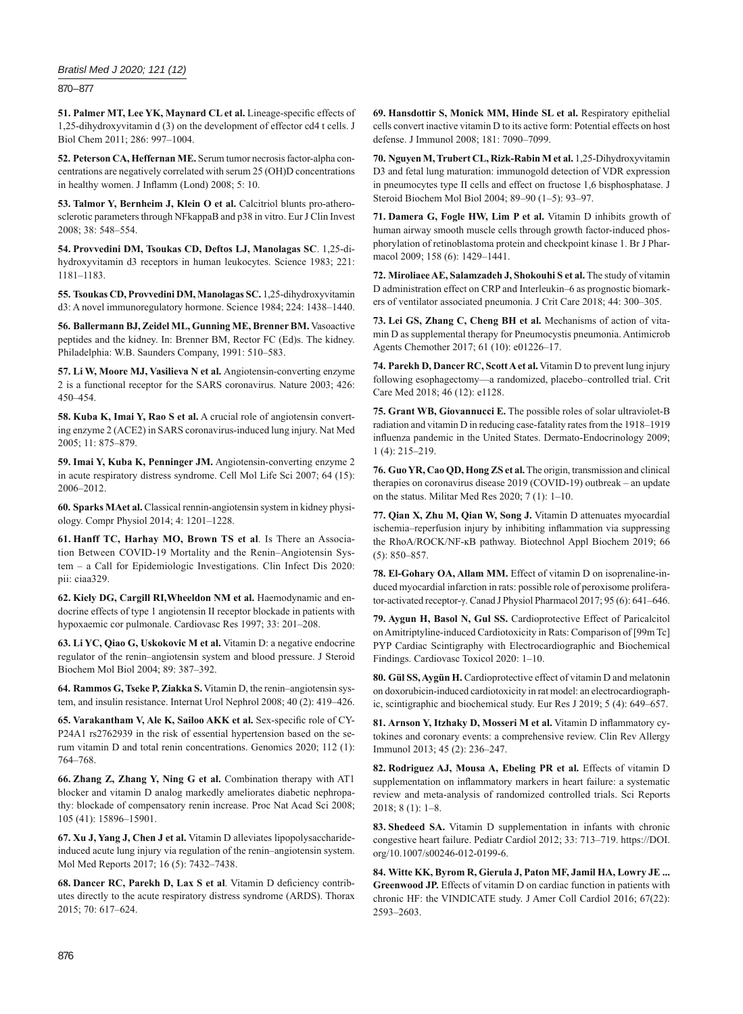## *Bratisl Med J 2020; 121 (12)*

870 – 877

51. Palmer MT, Lee YK, Maynard CL et al. Lineage-specific effects of 1,25-dihydroxyvitamin d (3) on the development of effector cd4 t cells. J Biol Chem 2011; 286: 997–1004.

**52. Peterson CA, Heffernan ME.** Serum tumor necrosis factor-alpha concentrations are negatively correlated with serum 25 (OH)D concentrations in healthy women. J Inflamm (Lond)  $2008$ ; 5: 10.

**53. Talmor Y, Bernheim J, Klein O et al.** Calcitriol blunts pro-atherosclerotic parameters through NFkappaB and p38 in vitro. Eur J Clin Invest 2008; 38: 548‒554.

**54. Provvedini DM, Tsoukas CD, Deftos LJ, Manolagas SC**. 1,25-dihydroxyvitamin d3 receptors in human leukocytes. Science 1983; 221: 1181–1183.

**55. Tsoukas CD, Provvedini DM, Manolagas SC.** 1,25-dihydroxyvitamin d3: A novel immunoregulatory hormone. Science 1984; 224: 1438–1440.

**56. Ballermann BJ, Zeidel ML, Gunning ME, Brenner BM.** Vasoactive peptides and the kidney. In: Brenner BM, Rector FC (Ed)s. The kidney. Philadelphia: W.B. Saunders Company, 1991: 510–583.

**57. Li W, Moore MJ, Vasilieva N et al.** Angiotensin-converting enzyme 2 is a functional receptor for the SARS coronavirus. Nature 2003; 426: 450–454.

**58. Kuba K, Imai Y, Rao S et al.** A crucial role of angiotensin converting enzyme 2 (ACE2) in SARS coronavirus-induced lung injury. Nat Med 2005; 11: 875–879.

**59. Imai Y, Kuba K, Penninger JM.** Angiotensin-converting enzyme 2 in acute respiratory distress syndrome. Cell Mol Life Sci 2007; 64 (15): 2006‒2012.

**60. Sparks MAet al.** Classical rennin-angiotensin system in kidney physiology. Compr Physiol 2014; 4: 1201–1228.

**61. Hanff TC, Harhay MO, Brown TS et al**. Is There an Association Between COVID-19 Mortality and the Renin-Angiotensin System - a Call for Epidemiologic Investigations. Clin Infect Dis 2020: pii: ciaa329.

**62. Kiely DG, Cargill RI,Wheeldon NM et al.** Haemodynamic and endocrine effects of type 1 angiotensin II receptor blockade in patients with hypoxaemic cor pulmonale. Cardiovasc Res 1997; 33: 201–208.

**63. Li YC, Qiao G, Uskokovic M et al.** Vitamin D: a negative endocrine regulator of the renin–angiotensin system and blood pressure. J Steroid Biochem Mol Biol 2004; 89: 387‒392.

64. Rammos G, Tseke P, Ziakka S. Vitamin D, the renin-angiotensin system, and insulin resistance. Internat Urol Nephrol 2008; 40 (2): 419-426.

65. Varakantham V, Ale K, Sailoo AKK et al. Sex-specific role of CY-P24A1 rs2762939 in the risk of essential hypertension based on the serum vitamin D and total renin concentrations. Genomics 2020; 112 (1): 764‒768.

**66. Zhang Z, Zhang Y, Ning G et al.** Combination therapy with AT1 blocker and vitamin D analog markedly ameliorates diabetic nephropathy: blockade of compensatory renin increase. Proc Nat Acad Sci 2008; 105 (41): 15896‒15901.

**67. Xu J, Yang J, Chen J et al.** Vitamin D alleviates lipopolysaccharideinduced acute lung injury via regulation of the renin-angiotensin system. Mol Med Reports 2017; 16 (5): 7432-7438.

68. Dancer RC, Parekh D, Lax S et al. Vitamin D deficiency contributes directly to the acute respiratory distress syndrome (ARDS). Thorax 2015; 70: 617–624.

**69. Hansdottir S, Monick MM, Hinde SL et al.** Respiratory epithelial cells convert inactive vitamin D to its active form: Potential effects on host defense. J Immunol 2008; 181: 7090–7099.

**70. Nguyen M, Trubert CL, Rizk-Rabin M et al.** 1,25-Dihydroxyvitamin D3 and fetal lung maturation: immunogold detection of VDR expression in pneumocytes type II cells and effect on fructose 1,6 bisphosphatase. J Steroid Biochem Mol Biol 2004; 89-90 (1-5): 93-97.

**71. Damera G, Fogle HW, Lim P et al.** Vitamin D inhibits growth of human airway smooth muscle cells through growth factor-induced phosphorylation of retinoblastoma protein and checkpoint kinase 1. Br J Pharmacol 2009; 158 (6): 1429-1441.

**72. Miroliaee AE, Salamzadeh J, Shokouhi S et al.** The study of vitamin D administration effect on CRP and Interleukin-6 as prognostic biomarkers of ventilator associated pneumonia. J Crit Care 2018; 44: 300-305.

**73. Lei GS, Zhang C, Cheng BH et al.** Mechanisms of action of vitamin D as supplemental therapy for Pneumocystis pneumonia. Antimicrob Agents Chemother 2017; 61 (10): e01226-17.

**74. Parekh D, Dancer RC, Scott A et al.** Vitamin D to prevent lung injury following esophagectomy-a randomized, placebo-controlled trial. Crit Care Med 2018; 46 (12): e1128.

**75. Grant WB, Giovannucci E.** The possible roles of solar ultraviolet-B radiation and vitamin D in reducing case-fatality rates from the 1918–1919 influenza pandemic in the United States. Dermato-Endocrinology 2009; 1 (4): 215‒219.

**76. Guo YR, Cao QD, Hong ZS et al.** The origin, transmission and clinical therapies on coronavirus disease 2019 (COVID-19) outbreak – an update on the status. Militar Med Res 2020;  $7(1)$ : 1-10.

**77. Qian X, Zhu M, Qian W, Song J.** Vitamin D attenuates myocardial ischemia-reperfusion injury by inhibiting inflammation via suppressing the RhoA/ROCK/NF-ĸB pathway. Biotechnol Appl Biochem 2019; 66  $(5): 850 - 857.$ 

**78. El-Gohary OA, Allam MM.** Effect of vitamin D on isoprenaline-induced myocardial infarction in rats: possible role of peroxisome proliferator-activated receptor-γ. Canad J Physiol Pharmacol 2017; 95 (6): 641–646.

**79. Aygun H, Basol N, Gul SS.** Cardioprotective Effect of Paricalcitol on Amitriptyline-induced Cardiotoxicity in Rats: Comparison of [99m Tc] PYP Cardiac Scintigraphy with Electrocardiographic and Biochemical Findings. Cardiovasc Toxicol 2020: 1-10.

**80. Gül SS, Aygün H.** Cardioprotective effect of vitamin D and melatonin on doxorubicin-induced cardiotoxicity in rat model: an electrocardiographic, scintigraphic and biochemical study. Eur Res J 2019; 5 (4): 649‒657.

81. Arnson Y, Itzhaky D, Mosseri M et al. Vitamin D inflammatory cytokines and coronary events: a comprehensive review. Clin Rev Allergy Immunol 2013; 45 (2): 236‒247.

**82. Rodriguez AJ, Mousa A, Ebeling PR et al.** Effects of vitamin D supplementation on inflammatory markers in heart failure: a systematic review and meta-analysis of randomized controlled trials. Sci Reports 2018; 8 (1): 1‒8.

**83. Shedeed SA.** Vitamin D supplementation in infants with chronic congestive heart failure. Pediatr Cardiol 2012; 33: 713–719. https://DOI. org/10.1007/s00246-012-0199-6.

**84. Witte KK, Byrom R, Gierula J, Paton MF, Jamil HA, Lowry JE ... Greenwood JP.** Effects of vitamin D on cardiac function in patients with chronic HF: the VINDICATE study. J Amer Coll Cardiol 2016; 67(22): 2593–2603.